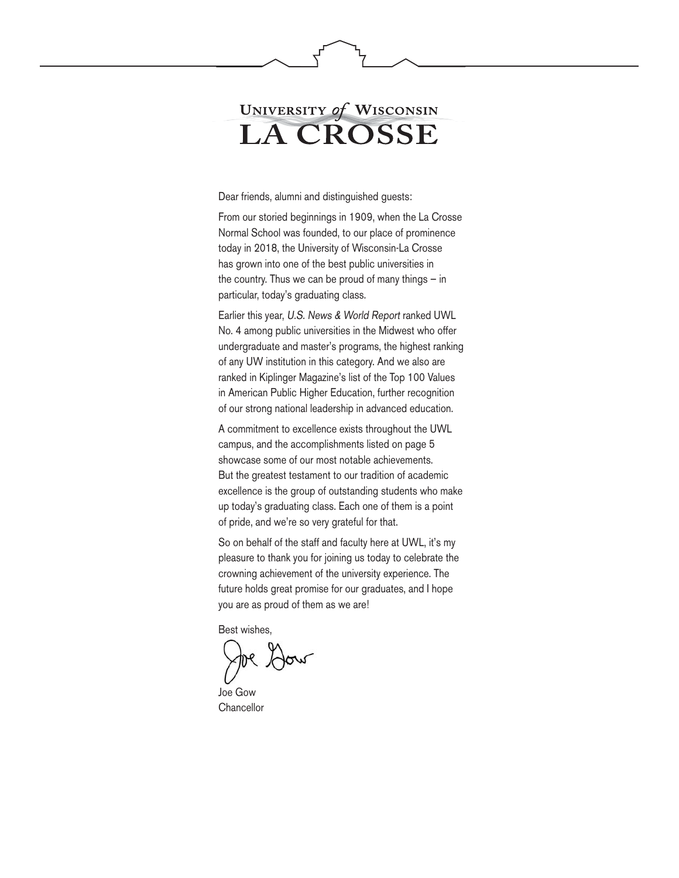# UNIVERSITY of WISCONSIN **LA CROSSE**

Dear friends, alumni and distinguished guests:

From our storied beginnings in 1909, when the La Crosse Normal School was founded, to our place of prominence today in 2018, the University of Wisconsin-La Crosse has grown into one of the best public universities in the country. Thus we can be proud of many things  $-$  in particular, today's graduating class.

Earlier this year, U.S. News & World Report ranked UWL No. 4 among public universities in the Midwest who offer undergraduate and master's programs, the highest ranking of any UW institution in this category. And we also are ranked in Kiplinger Magazine's list of the Top 100 Values in American Public Higher Education, further recognition of our strong national leadership in advanced education.

A commitment to excellence exists throughout the UWL campus, and the accomplishments listed on page 5 showcase some of our most notable achievements. But the greatest testament to our tradition of academic excellence is the group of outstanding students who make up today's graduating class. Each one of them is a point of pride, and we're so very grateful for that.

So on behalf of the staff and faculty here at UWL, it's my pleasure to thank you for joining us today to celebrate the crowning achievement of the university experience. The future holds great promise for our graduates, and I hope you are as proud of them as we are!

Best wishes,

Joe Gow **Chancellor**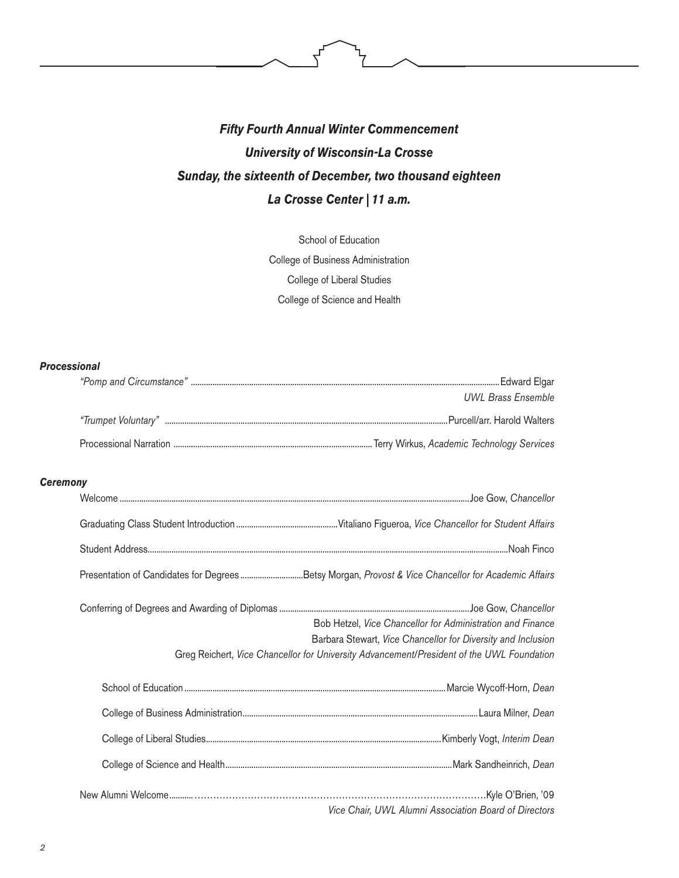# *Fifty Fourth Annual Winter Commencement University of Wisconsin-La Crosse Sunday, the sixteenth of December, two thousand eighteen La Crosse Center | 11 a.m.*

School of Education College of Business Administration College of Liberal Studies College of Science and Health

#### *Processional*

| <b>UWL Brass Ensemble</b> |
|---------------------------|
|                           |
|                           |

#### *Ceremony*

| Presentation of Candidates for Degrees Betsy Morgan, Provost & Vice Chancellor for Academic Affairs                                                                                                                     |  |
|-------------------------------------------------------------------------------------------------------------------------------------------------------------------------------------------------------------------------|--|
| Bob Hetzel, Vice Chancellor for Administration and Finance<br>Barbara Stewart, Vice Chancellor for Diversity and Inclusion<br>Greg Reichert, Vice Chancellor for University Advancement/President of the UWL Foundation |  |
|                                                                                                                                                                                                                         |  |
|                                                                                                                                                                                                                         |  |
|                                                                                                                                                                                                                         |  |
|                                                                                                                                                                                                                         |  |
| Vice Chair, UWL Alumni Association Board of Directors                                                                                                                                                                   |  |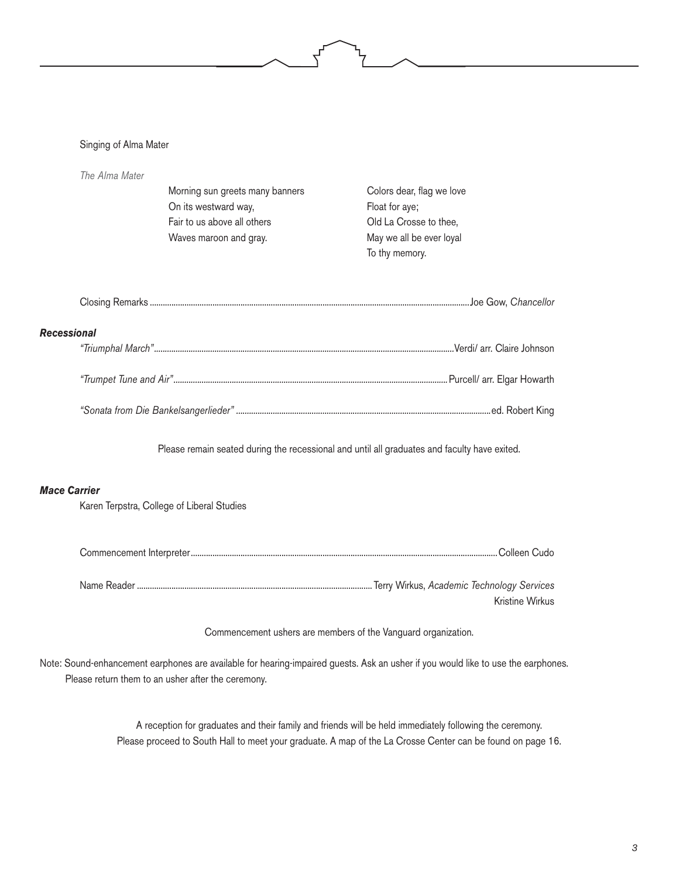#### Singing of Alma Mater

| The Alma Mater      |                                            |                                                                                                                                                                                                                                |
|---------------------|--------------------------------------------|--------------------------------------------------------------------------------------------------------------------------------------------------------------------------------------------------------------------------------|
|                     | Morning sun greets many banners            | Colors dear, flag we love                                                                                                                                                                                                      |
|                     | On its westward way,                       | Float for aye;                                                                                                                                                                                                                 |
|                     | Fair to us above all others                | Old La Crosse to thee,                                                                                                                                                                                                         |
|                     | Waves maroon and gray.                     | May we all be ever loyal                                                                                                                                                                                                       |
|                     |                                            | To thy memory.                                                                                                                                                                                                                 |
|                     |                                            |                                                                                                                                                                                                                                |
|                     |                                            |                                                                                                                                                                                                                                |
| <b>Recessional</b>  |                                            |                                                                                                                                                                                                                                |
|                     |                                            |                                                                                                                                                                                                                                |
|                     |                                            |                                                                                                                                                                                                                                |
|                     |                                            |                                                                                                                                                                                                                                |
|                     |                                            | Please remain seated during the recessional and until all graduates and faculty have exited.                                                                                                                                   |
| <b>Mace Carrier</b> |                                            |                                                                                                                                                                                                                                |
|                     | Karen Terpstra, College of Liberal Studies |                                                                                                                                                                                                                                |
|                     |                                            |                                                                                                                                                                                                                                |
|                     |                                            |                                                                                                                                                                                                                                |
|                     |                                            | <b>Kristine Wirkus</b>                                                                                                                                                                                                         |
|                     |                                            | Commencement ushers are members of the Vanguard organization.                                                                                                                                                                  |
|                     |                                            | the property of the contract of the contract of the contract of the contract of the contract of the contract of the contract of the contract of the contract of the contract of the contract of the contract of the contract o |

Note: Sound-enhancement earphones are available for hearing-impaired guests. Ask an usher if you would like to use the earphones. Please return them to an usher after the ceremony.

> A reception for graduates and their family and friends will be held immediately following the ceremony. Please proceed to South Hall to meet your graduate. A map of the La Crosse Center can be found on page 16.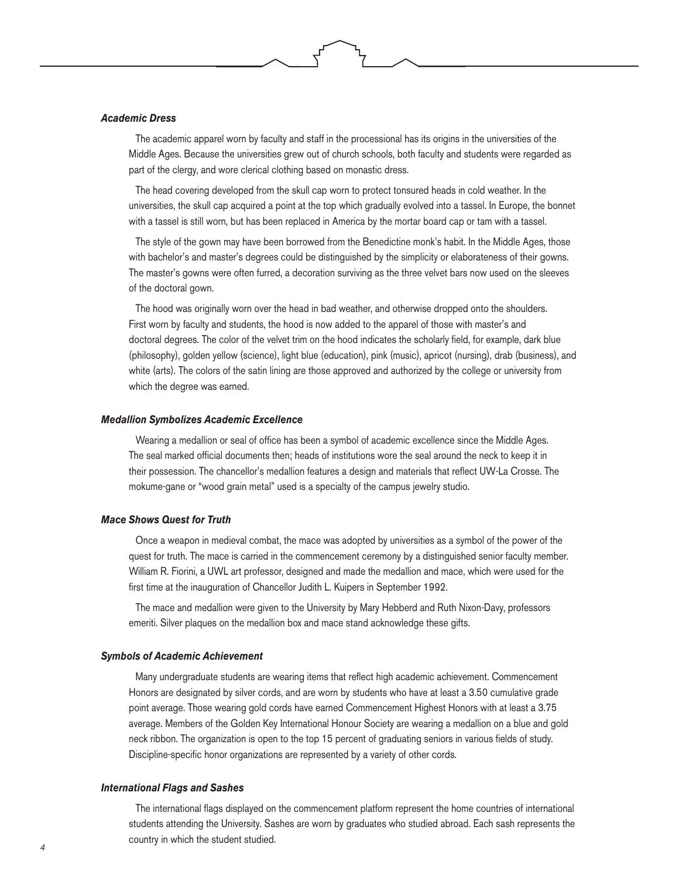#### *Academic Dress*

The academic apparel worn by faculty and staff in the processional has its origins in the universities of the Middle Ages. Because the universities grew out of church schools, both faculty and students were regarded as part of the clergy, and wore clerical clothing based on monastic dress.

The head covering developed from the skull cap worn to protect tonsured heads in cold weather. In the universities, the skull cap acquired a point at the top which gradually evolved into a tassel. In Europe, the bonnet with a tassel is still worn, but has been replaced in America by the mortar board cap or tam with a tassel.

The style of the gown may have been borrowed from the Benedictine monk's habit. In the Middle Ages, those with bachelor's and master's degrees could be distinguished by the simplicity or elaborateness of their gowns. The master's gowns were often furred, a decoration surviving as the three velvet bars now used on the sleeves of the doctoral gown.

The hood was originally worn over the head in bad weather, and otherwise dropped onto the shoulders. First worn by faculty and students, the hood is now added to the apparel of those with master's and doctoral degrees. The color of the velvet trim on the hood indicates the scholarly field, for example, dark blue (philosophy), golden yellow (science), light blue (education), pink (music), apricot (nursing), drab (business), and white (arts). The colors of the satin lining are those approved and authorized by the college or university from which the degree was earned.

#### *Medallion Symbolizes Academic Excellence*

Wearing a medallion or seal of office has been a symbol of academic excellence since the Middle Ages. The seal marked official documents then; heads of institutions wore the seal around the neck to keep it in their possession. The chancellor's medallion features a design and materials that reflect UW-La Crosse. The mokume-gane or "wood grain metal" used is a specialty of the campus jewelry studio.

#### *Mace Shows Quest for Truth*

Once a weapon in medieval combat, the mace was adopted by universities as a symbol of the power of the quest for truth. The mace is carried in the commencement ceremony by a distinguished senior faculty member. William R. Fiorini, a UWL art professor, designed and made the medallion and mace, which were used for the first time at the inauguration of Chancellor Judith L. Kuipers in September 1992.

The mace and medallion were given to the University by Mary Hebberd and Ruth Nixon-Davy, professors emeriti. Silver plaques on the medallion box and mace stand acknowledge these gifts.

#### *Symbols of Academic Achievement*

Many undergraduate students are wearing items that reflect high academic achievement. Commencement Honors are designated by silver cords, and are worn by students who have at least a 3.50 cumulative grade point average. Those wearing gold cords have earned Commencement Highest Honors with at least a 3.75 average. Members of the Golden Key International Honour Society are wearing a medallion on a blue and gold neck ribbon. The organization is open to the top 15 percent of graduating seniors in various fields of study. Discipline-specific honor organizations are represented by a variety of other cords.

#### *International Flags and Sashes*

The international flags displayed on the commencement platform represent the home countries of international students attending the University. Sashes are worn by graduates who studied abroad. Each sash represents the country in which the student studied.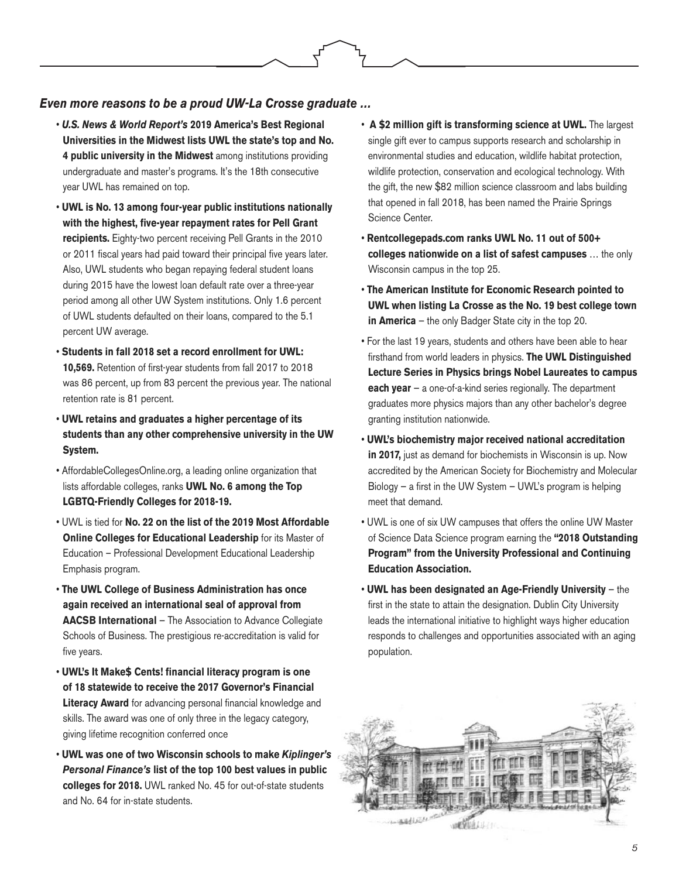## *Even more reasons to be a proud UW-La Crosse graduate …*

- *U.S. News & World Report's* **2019 America's Best Regional Universities in the Midwest lists UWL the state's top and No. 4 public university in the Midwest** among institutions providing undergraduate and master's programs. It's the 18th consecutive year UWL has remained on top.
- **UWL is No. 13 among four-year public institutions nationally with the highest, five-year repayment rates for Pell Grant recipients.** Eighty-two percent receiving Pell Grants in the 2010 or 2011 fiscal years had paid toward their principal five years later. Also, UWL students who began repaying federal student loans during 2015 have the lowest loan default rate over a three-year period among all other UW System institutions. Only 1.6 percent of UWL students defaulted on their loans, compared to the 5.1 percent UW average.
- **Students in fall 2018 set a record enrollment for UWL: 10,569.** Retention of first-year students from fall 2017 to 2018 was 86 percent, up from 83 percent the previous year. The national retention rate is 81 percent.
- **UWL retains and graduates a higher percentage of its students than any other comprehensive university in the UW System.**
- AffordableCollegesOnline.org, a leading online organization that lists affordable colleges, ranks **UWL No. 6 among the Top LGBTQ-Friendly Colleges for 2018-19.**
- UWL is tied for **No. 22 on the list of the 2019 Most Affordable Online Colleges for Educational Leadership** for its Master of Education – Professional Development Educational Leadership Emphasis program.
- **The UWL College of Business Administration has once again received an international seal of approval from AACSB International** — The Association to Advance Collegiate Schools of Business. The prestigious re-accreditation is valid for five years.
- **UWL's It Make\$ Cents! financial literacy program is one of 18 statewide to receive the 2017 Governor's Financial Literacy Award** for advancing personal financial knowledge and skills. The award was one of only three in the legacy category, giving lifetime recognition conferred once
- **UWL was one of two Wisconsin schools to make** *Kiplinger's Personal Finance's* **list of the top 100 best values in public colleges for 2018.** UWL ranked No. 45 for out-of-state students and No. 64 for in-state students.
- **A \$2 million gift is transforming science at UWL.** The largest single gift ever to campus supports research and scholarship in environmental studies and education, wildlife habitat protection, wildlife protection, conservation and ecological technology. With the gift, the new \$82 million science classroom and labs building that opened in fall 2018, has been named the Prairie Springs Science Center.
- **Rentcollegepads.com ranks UWL No. 11 out of 500+ colleges nationwide on a list of safest campuses** … the only Wisconsin campus in the top 25.
- • **The American Institute for Economic Research pointed to UWL when listing La Crosse as the No. 19 best college town in America** — the only Badger State city in the top 20.
- For the last 19 years, students and others have been able to hear firsthand from world leaders in physics. **The UWL Distinguished Lecture Series in Physics brings Nobel Laureates to campus each year** — a one-of-a-kind series regionally. The department graduates more physics majors than any other bachelor's degree granting institution nationwide.
- **UWL's biochemistry major received national accreditation in 2017,** just as demand for biochemists in Wisconsin is up. Now accredited by the American Society for Biochemistry and Molecular  $Biology - a first in the UW System - UWL's program is helping$ meet that demand.
- UWL is one of six UW campuses that offers the online UW Master of Science Data Science program earning the **"2018 Outstanding Program" from the University Professional and Continuing Education Association.**
- **UWL has been designated an Age-Friendly University** the first in the state to attain the designation. Dublin City University leads the international initiative to highlight ways higher education responds to challenges and opportunities associated with an aging population.

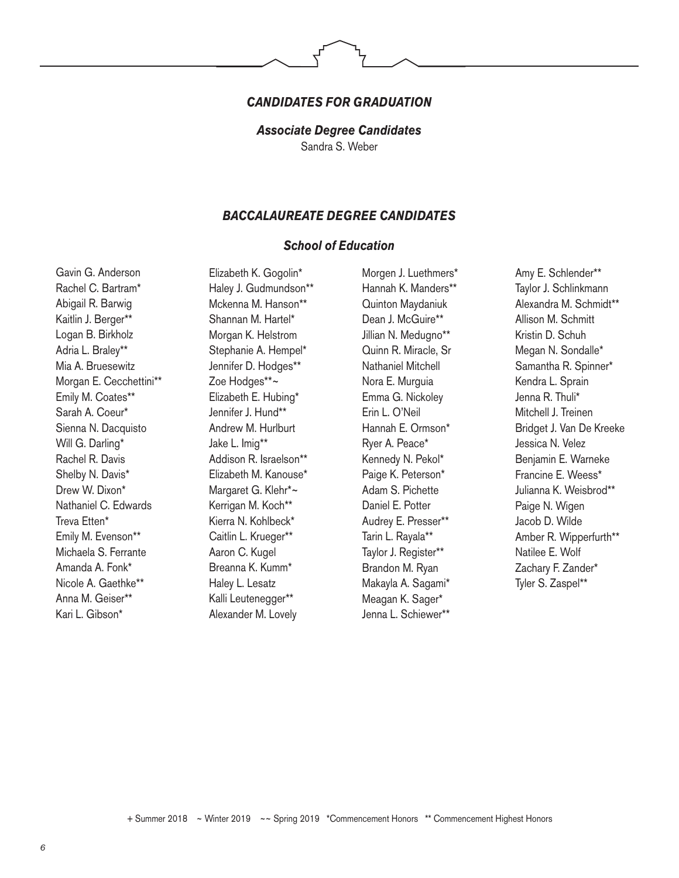## *CANDIDATES FOR GRADUATION*

# *Associate Degree Candidates*

Sandra S. Weber

# *BACCALAUREATE DEGREE CANDIDATES*

# *School of Education*

Gavin G. Anderson Rachel C. Bartram\* Abigail R. Barwig Kaitlin J. Berger\*\* Logan B. Birkholz Adria L. Braley\*\* Mia A. Bruesewitz Morgan E. Cecchettini\*\* Emily M. Coates\*\* Sarah A. Coeur\* Sienna N. Dacquisto Will G. Darling\* Rachel R. Davis Shelby N. Davis\* Drew W. Dixon\* Nathaniel C. Edwards Treva Etten\* Emily M. Evenson\*\* Michaela S. Ferrante Amanda A. Fonk\* Nicole A. Gaethke\*\* Anna M. Geiser\*\* Kari L. Gibson\*

Elizabeth K. Gogolin\* Haley J. Gudmundson\*\* Mckenna M. Hanson\*\* Shannan M. Hartel\* Morgan K. Helstrom Stephanie A. Hempel\* Jennifer D. Hodges\*\* Zoe Hodges\*\*~ Elizabeth E. Hubing\* Jennifer J. Hund\*\* Andrew M. Hurlburt Jake L. Imig\*\* Addison R. Israelson\*\* Elizabeth M. Kanouse\* Margaret G. Klehr\*~ Kerrigan M. Koch\*\* Kierra N. Kohlbeck\* Caitlin L. Krueger\*\* Aaron C. Kugel Breanna K. Kumm\* Haley L. Lesatz Kalli Leutenegger\*\* Alexander M. Lovely

Morgen J. Luethmers\* Hannah K. Manders\*\* Quinton Maydaniuk Dean J. McGuire\*\* Jillian N. Medugno\*\* Quinn R. Miracle, Sr Nathaniel Mitchell Nora E. Murguia Emma G. Nickoley Erin L. O'Neil Hannah E. Ormson\* Ryer A. Peace\* Kennedy N. Pekol\* Paige K. Peterson\* Adam S. Pichette Daniel E. Potter Audrey E. Presser\*\* Tarin L. Rayala\*\* Taylor J. Register\*\* Brandon M. Ryan Makayla A. Sagami\* Meagan K. Sager\* Jenna L. Schiewer\*\*

Amy E. Schlender\*\* Taylor J. Schlinkmann Alexandra M. Schmidt\*\* Allison M. Schmitt Kristin D. Schuh Megan N. Sondalle\* Samantha R. Spinner\* Kendra L. Sprain Jenna R. Thuli\* Mitchell J. Treinen Bridget J. Van De Kreeke Jessica N. Velez Benjamin E. Warneke Francine E. Weess\* Julianna K. Weisbrod\*\* Paige N. Wigen Jacob D. Wilde Amber R. Wipperfurth\*\* Natilee E. Wolf Zachary F. Zander\* Tyler S. Zaspel\*\*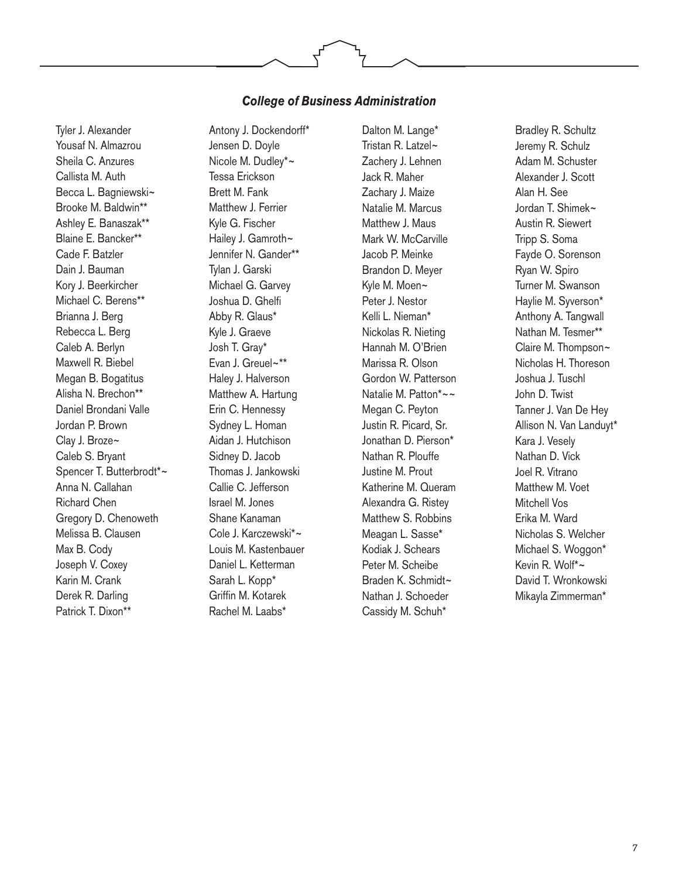## *College of Business Administration*

Tyler J. Alexander Yousaf N. Almazrou Sheila C. Anzures Callista M. Auth Becca L. Bagniewski~ Brooke M. Baldwin\*\* Ashley E. Banaszak\*\* Blaine E. Bancker\*\* Cade F. Batzler Dain J. Bauman Kory J. Beerkircher Michael C. Berens\*\* Brianna J. Berg Rebecca L. Berg Caleb A. Berlyn Maxwell R. Biebel Megan B. Bogatitus Alisha N. Brechon\*\* Daniel Brondani Valle Jordan P. Brown Clay J. Broze~ Caleb S. Bryant Spencer T. Butterbrodt\*~ Anna N. Callahan Richard Chen Gregory D. Chenoweth Melissa B. Clausen Max B. Cody Joseph V. Coxey Karin M. Crank Derek R. Darling Patrick T. Dixon\*\*

Antony J. Dockendorff\* Jensen D. Doyle Nicole M. Dudley\*~ Tessa Erickson Brett M. Fank Matthew J. Ferrier Kyle G. Fischer Hailey J. Gamroth~ Jennifer N. Gander\*\* Tylan J. Garski Michael G. Garvey Joshua D. Ghelfi Abby R. Glaus\* Kyle J. Graeve Josh T. Gray\* Evan J. Greuel~\*\* Haley J. Halverson Matthew A. Hartung Erin C. Hennessy Sydney L. Homan Aidan J. Hutchison Sidney D. Jacob Thomas J. Jankowski Callie C. Jefferson Israel M. Jones Shane Kanaman Cole J. Karczewski\*~ Louis M. Kastenbauer Daniel L. Ketterman Sarah L. Kopp\* Griffin M. Kotarek Rachel M. Laabs\*

Dalton M. Lange\* Tristan R. Latzel~ Zachery J. Lehnen Jack R. Maher Zachary J. Maize Natalie M. Marcus Matthew J. Maus Mark W. McCarville Jacob P. Meinke Brandon D. Meyer Kyle M. Moen~ Peter J. Nestor Kelli L. Nieman\* Nickolas R. Nieting Hannah M. O'Brien Marissa R. Olson Gordon W. Patterson Natalie M. Patton\*~~ Megan C. Peyton Justin R. Picard, Sr. Jonathan D. Pierson\* Nathan R. Plouffe Justine M. Prout Katherine M. Queram Alexandra G. Ristey Matthew S. Robbins Meagan L. Sasse\* Kodiak J. Schears Peter M. Scheibe Braden K. Schmidt~ Nathan J. Schoeder Cassidy M. Schuh\*

Bradley R. Schultz Jeremy R. Schulz Adam M. Schuster Alexander J. Scott Alan H. See Jordan T. Shimek~ Austin R. Siewert Tripp S. Soma Fayde O. Sorenson Ryan W. Spiro Turner M. Swanson Haylie M. Syverson\* Anthony A. Tangwall Nathan M. Tesmer\*\* Claire M. Thompson~ Nicholas H. Thoreson Joshua J. Tuschl John D. Twist Tanner J. Van De Hey Allison N. Van Landuyt\* Kara J. Vesely Nathan D. Vick Joel R. Vitrano Matthew M. Voet Mitchell Vos Erika M. Ward Nicholas S. Welcher Michael S. Woggon\* Kevin R. Wolf\*~ David T. Wronkowski Mikayla Zimmerman\*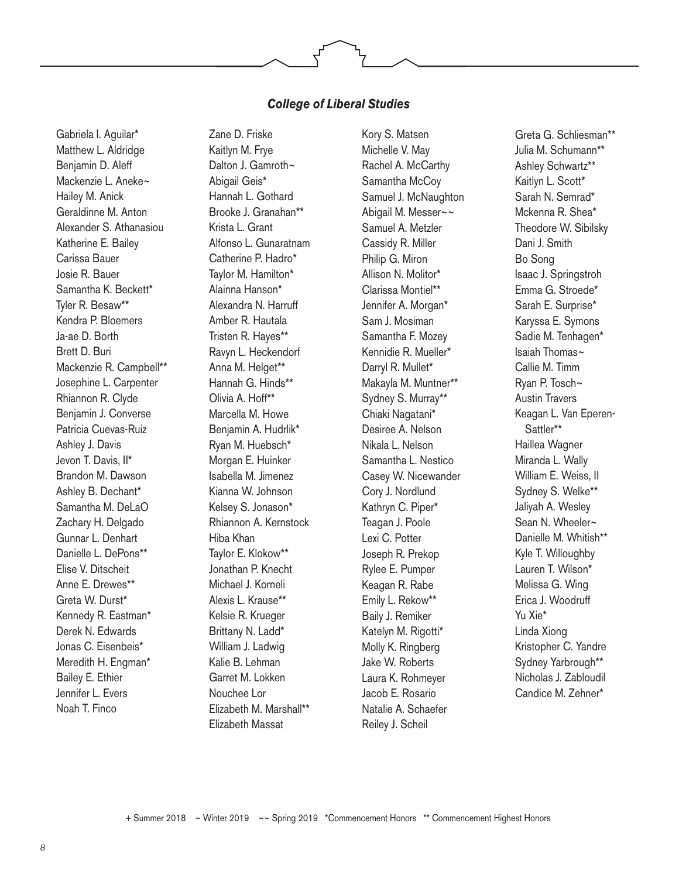## *College of Liberal Studies*

Gabriela I. Aguilar\* Matthew L. Aldridge Benjamin D. Aleff Mackenzie L. Aneke~ Hailey M. Anick Geraldinne M. Anton Alexander S. Athanasiou Katherine E. Bailey Carissa Bauer Josie R. Bauer Samantha K. Beckett\* Tyler R. Besaw\*\* Kendra P. Bloemers Ja-ae D. Borth Brett D. Buri Mackenzie R. Campbell\*\* Josephine L. Carpenter Rhiannon R. Clyde Benjamin J. Converse Patricia Cuevas-Ruiz Ashley J. Davis Jevon T. Davis, II\* Brandon M. Dawson Ashley B. Dechant\* Samantha M. DeLaO Zachary H. Delgado Gunnar L. Denhart Danielle L. DePons\*\* Elise V. Ditscheit Anne E. Drewes\*\* Greta W. Durst\* Kennedy R. Eastman\* Derek N. Edwards Jonas C. Eisenbeis\* Meredith H. Engman\* Bailey E. Ethier Jennifer L. Evers Noah T. Finco

Zane D. Friske Kaitlyn M. Frye Dalton J. Gamroth~ Abigail Geis\* Hannah L. Gothard Brooke J. Granahan\*\* Krista L. Grant Alfonso L. Gunaratnam Catherine P. Hadro\* Taylor M. Hamilton\* Alainna Hanson\* Alexandra N. Harruff Amber R. Hautala Tristen R. Hayes\*\* Ravyn L. Heckendorf Anna M. Helget\*\* Hannah G. Hinds\*\* Olivia A. Hoff\*\* Marcella M. Howe Benjamin A. Hudrlik\* Ryan M. Huebsch\* Morgan E. Huinker Isabella M. Jimenez Kianna W. Johnson Kelsey S. Jonason\* Rhiannon A. Kernstock Hiba Khan Taylor E. Klokow\*\* Jonathan P. Knecht Michael J. Korneli Alexis L. Krause\*\* Kelsie R. Krueger Brittany N. Ladd\* William J. Ladwig Kalie B. Lehman Garret M. Lokken Nouchee Lor Elizabeth M. Marshall\*\* Elizabeth Massat

Kory S. Matsen Michelle V. May Rachel A. McCarthy Samantha McCoy Samuel J. McNaughton Abigail M. Messer~~ Samuel A. Metzler Cassidy R. Miller Philip G. Miron Allison N. Molitor\* Clarissa Montiel\*\* Jennifer A. Morgan\* Sam J. Mosiman Samantha F. Mozey Kennidie R. Mueller\* Darryl R. Mullet\* Makayla M. Muntner\*\* Sydney S. Murray\*\* Chiaki Nagatani\* Desiree A. Nelson Nikala L. Nelson Samantha L. Nestico Casey W. Nicewander Cory J. Nordlund Kathryn C. Piper\* Teagan J. Poole Lexi C. Potter Joseph R. Prekop Rylee E. Pumper Keagan R. Rabe Emily L. Rekow\*\* Baily J. Remiker Katelyn M. Rigotti\* Molly K. Ringberg Jake W. Roberts Laura K. Rohmeyer Jacob E. Rosario Natalie A. Schaefer Reiley J. Scheil

Greta G. Schliesman\*\* Julia M. Schumann\*\* Ashley Schwartz\*\* Kaitlyn L. Scott\* Sarah N. Semrad\* Mckenna R. Shea\* Theodore W. Sibilsky Dani J. Smith Bo Song Isaac J. Springstroh Emma G. Stroede\* Sarah E. Surprise\* Karyssa E. Symons Sadie M. Tenhagen\* Isaiah Thomas~ Callie M. Timm Ryan P. Tosch~ Austin Travers Keagan L. Van Eperen-Sattler\*\* Haillea Wagner Miranda L. Wally William E. Weiss, II Sydney S. Welke\*\* Jaliyah A. Wesley Sean N. Wheeler~ Danielle M. Whitish\*\* Kyle T. Willoughby Lauren T. Wilson\* Melissa G. Wing Erica J. Woodruff Yu Xie\* Linda Xiong Kristopher C. Yandre Sydney Yarbrough\*\* Nicholas J. Zabloudil Candice M. Zehner\*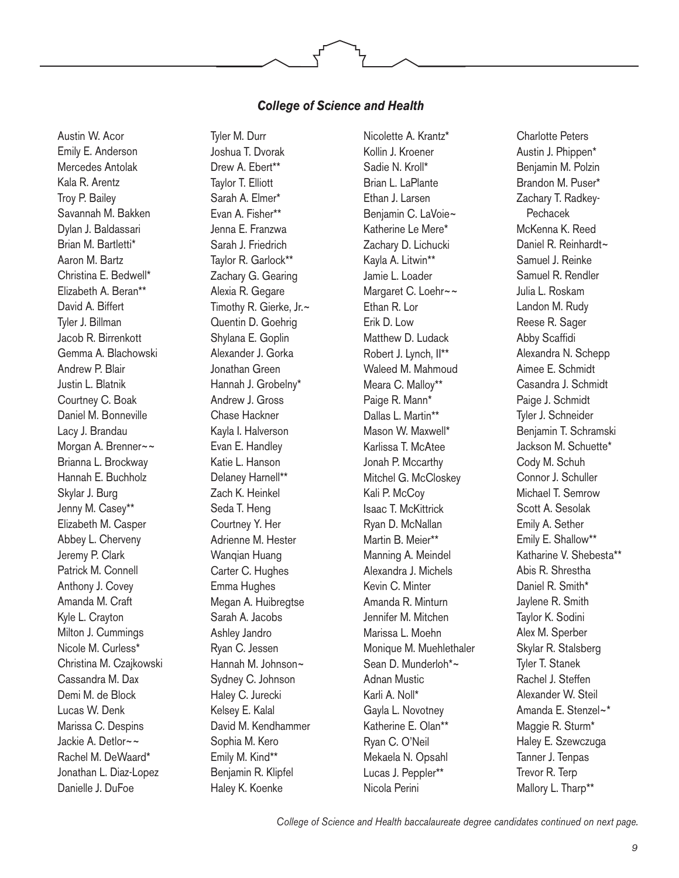## *College of Science and Health*

Austin W. Acor Emily E. Anderson Mercedes Antolak Kala R. Arentz Troy P. Bailey Savannah M. Bakken Dylan J. Baldassari Brian M. Bartletti\* Aaron M. Bartz Christina E. Bedwell\* Elizabeth A. Beran\*\* David A. Biffert Tyler J. Billman Jacob R. Birrenkott Gemma A. Blachowski Andrew P. Blair Justin L. Blatnik Courtney C. Boak Daniel M. Bonneville Lacy J. Brandau Morgan A. Brenner~~ Brianna L. Brockway Hannah E. Buchholz Skylar J. Burg Jenny M. Casey\*\* Elizabeth M. Casper Abbey L. Cherveny Jeremy P. Clark Patrick M. Connell Anthony J. Covey Amanda M. Craft Kyle L. Crayton Milton J. Cummings Nicole M. Curless\* Christina M. Czajkowski Cassandra M. Dax Demi M. de Block Lucas W. Denk Marissa C. Despins Jackie A. Detlor~~ Rachel M. DeWaard\* Jonathan L. Diaz-Lopez Danielle J. DuFoe

Tyler M. Durr Joshua T. Dvorak Drew A. Ebert\*\* Taylor T. Elliott Sarah A. Elmer\* Evan A. Fisher\*\* Jenna E. Franzwa Sarah J. Friedrich Taylor R. Garlock\*\* Zachary G. Gearing Alexia R. Gegare Timothy R. Gierke, Jr.~ Quentin D. Goehrig Shylana E. Goplin Alexander J. Gorka Jonathan Green Hannah J. Grobelny\* Andrew J. Gross Chase Hackner Kayla I. Halverson Evan E. Handley Katie L. Hanson Delaney Harnell\*\* Zach K. Heinkel Seda T. Heng Courtney Y. Her Adrienne M. Hester Wanqian Huang Carter C. Hughes Emma Hughes Megan A. Huibregtse Sarah A. Jacobs Ashley Jandro Ryan C. Jessen Hannah M. Johnson~ Sydney C. Johnson Haley C. Jurecki Kelsey E. Kalal David M. Kendhammer Sophia M. Kero Emily M. Kind\*\* Benjamin R. Klipfel Haley K. Koenke

Nicolette A. Krantz\* Kollin J. Kroener Sadie N. Kroll\* Brian L. LaPlante Ethan J. Larsen Benjamin C. LaVoie~ Katherine Le Mere\* Zachary D. Lichucki Kayla A. Litwin\*\* Jamie L. Loader Margaret C. Loehr~~ Ethan R. Lor Erik D. Low Matthew D. Ludack Robert J. Lynch, II\*\* Waleed M. Mahmoud Meara C. Malloy\*\* Paige R. Mann\* Dallas L. Martin\*\* Mason W. Maxwell\* Karlissa T. McAtee Jonah P. Mccarthy Mitchel G. McCloskey Kali P. McCoy Isaac T. McKittrick Ryan D. McNallan Martin B. Meier\*\* Manning A. Meindel Alexandra J. Michels Kevin C. Minter Amanda R. Minturn Jennifer M. Mitchen Marissa L. Moehn Monique M. Muehlethaler Sean D. Munderloh\*~ Adnan Mustic Karli A. Noll\* Gayla L. Novotney Katherine E. Olan\*\* Ryan C. O'Neil Mekaela N. Opsahl Lucas J. Peppler\*\* Nicola Perini

Charlotte Peters Austin J. Phippen\* Benjamin M. Polzin Brandon M. Puser\* Zachary T. Radkey-Pechacek McKenna K. Reed Daniel R. Reinhardt~ Samuel J. Reinke Samuel R. Rendler Julia L. Roskam Landon M. Rudy Reese R. Sager Abby Scaffidi Alexandra N. Schepp Aimee E. Schmidt Casandra J. Schmidt Paige J. Schmidt Tyler J. Schneider Benjamin T. Schramski Jackson M. Schuette\* Cody M. Schuh Connor J. Schuller Michael T. Semrow Scott A. Sesolak Emily A. Sether Emily E. Shallow\*\* Katharine V. Shebesta\*\* Abis R. Shrestha Daniel R. Smith\* Jaylene R. Smith Taylor K. Sodini Alex M. Sperber Skylar R. Stalsberg Tyler T. Stanek Rachel J. Steffen Alexander W. Steil Amanda E. Stenzel~\* Maggie R. Sturm\* Haley E. Szewczuga Tanner J. Tenpas Trevor R. Terp Mallory L. Tharp\*\*

*College of Science and Health baccalaureate degree candidates continued on next page.*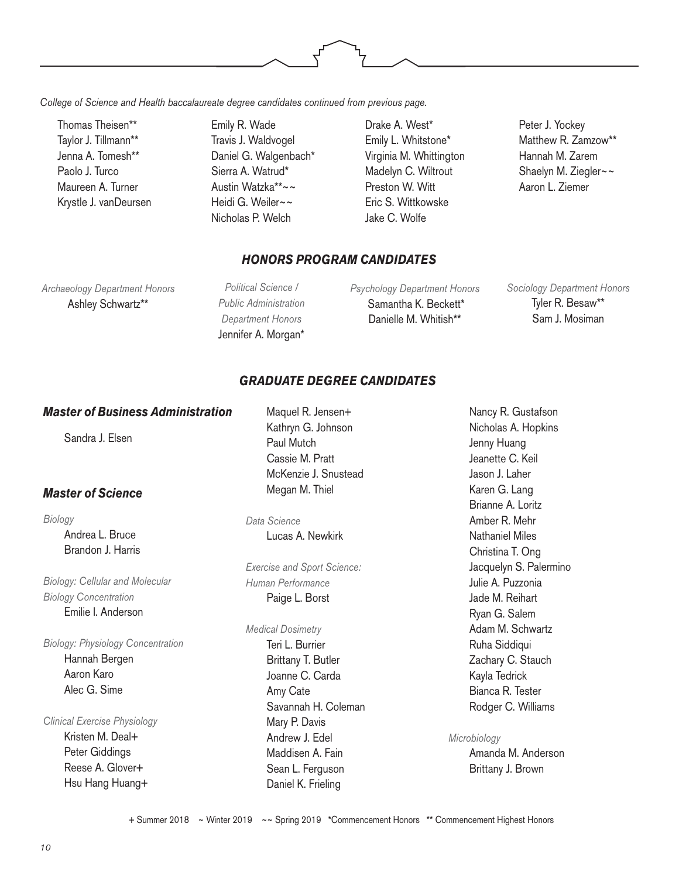*College of Science and Health baccalaureate degree candidates continued from previous page.*

- Thomas Theisen\*\* Taylor J. Tillmann\*\* Jenna A. Tomesh\*\* Paolo J. Turco Maureen A. Turner Krystle J. vanDeursen
- Emily R. Wade Travis J. Waldvogel Daniel G. Walgenbach\* Sierra A. Watrud\* Austin Watzka\*\*~~ Heidi G. Weiler~~ Nicholas P. Welch
- Drake A. West\* Emily L. Whitstone\* Virginia M. Whittington Madelyn C. Wiltrout Preston W. Witt Eric S. Wittkowske Jake C. Wolfe
- Peter J. Yockey Matthew R. Zamzow\*\* Hannah M. Zarem Shaelyn M. Ziegler~~ Aaron L. Ziemer

# *HONORS PROGRAM CANDIDATES*

*Archaeology Department Honors* Ashley Schwartz\*\*

*Political Science / Public Administration Department Honors* Jennifer A. Morgan\*

*Psychology Department Honors* Samantha K. Beckett\* Danielle M. Whitish\*\*

*Sociology Department Honors* Tyler R. Besaw\*\* Sam J. Mosiman

# *GRADUATE DEGREE CANDIDATES*

#### *Master of Business Administration*

Sandra J. Elsen

# *Master of Science*

*Biology* Andrea L. Bruce Brandon J. Harris

*Biology: Cellular and Molecular Biology Concentration* Emilie I. Anderson

*Biology: Physiology Concentration* Hannah Bergen Aaron Karo Alec G. Sime

*Clinical Exercise Physiology* Kristen M. Deal+ Peter Giddings Reese A. Glover+ Hsu Hang Huang+

Maquel R. Jensen+ Kathryn G. Johnson Paul Mutch Cassie M. Pratt McKenzie J. Snustead Megan M. Thiel

*Data Science* Lucas A. Newkirk

*Exercise and Sport Science: Human Performance* Paige L. Borst

*Medical Dosimetry* Teri L. Burrier Brittany T. Butler Joanne C. Carda Amy Cate Savannah H. Coleman Mary P. Davis Andrew J. Edel Maddisen A. Fain Sean L. Ferguson Daniel K. Frieling

Nancy R. Gustafson Nicholas A. Hopkins Jenny Huang Jeanette C. Keil Jason J. Laher Karen G. Lang Brianne A. Loritz Amber R. Mehr Nathaniel Miles Christina T. Ong Jacquelyn S. Palermino Julie A. Puzzonia Jade M. Reihart Ryan G. Salem Adam M. Schwartz Ruha Siddiqui Zachary C. Stauch Kayla Tedrick Bianca R. Tester Rodger C. Williams

*Microbiology*

Amanda M. Anderson Brittany J. Brown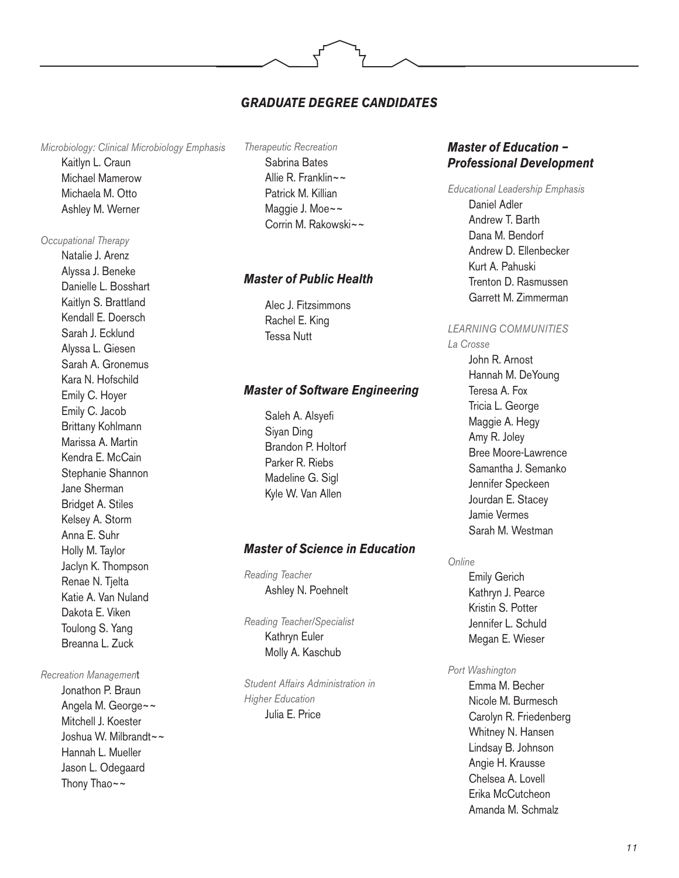## *GRADUATE DEGREE CANDIDATES*

*Microbiology: Clinical Microbiology Emphasis* Kaitlyn L. Craun Michael Mamerow Michaela M. Otto Ashley M. Werner

#### *Occupational Therapy*

Natalie J. Arenz Alyssa J. Beneke Danielle L. Bosshart Kaitlyn S. Brattland Kendall E. Doersch Sarah J. Ecklund Alyssa L. Giesen Sarah A. Gronemus Kara N. Hofschild Emily C. Hoyer Emily C. Jacob Brittany Kohlmann Marissa A. Martin Kendra E. McCain Stephanie Shannon Jane Sherman Bridget A. Stiles Kelsey A. Storm Anna E. Suhr Holly M. Taylor Jaclyn K. Thompson Renae N. Tjelta Katie A. Van Nuland Dakota E. Viken Toulong S. Yang Breanna L. Zuck

## *Recreation Managemen*t

Jonathon P. Braun Angela M. George~~ Mitchell J. Koester Joshua W. Milbrandt~~ Hannah L. Mueller Jason L. Odegaard Thony Thao~~

# *Therapeutic Recreation* Sabrina Bates Allie R. Franklin~~ Patrick M. Killian Maggie J. Moe~~ Corrin M. Rakowski~~

#### *Master of Public Health*

Alec J. Fitzsimmons Rachel E. King Tessa Nutt

#### *Master of Software Engineering*

Saleh A. Alsyefi Siyan Ding Brandon P. Holtorf Parker R. Riebs Madeline G. Sigl Kyle W. Van Allen

#### *Master of Science in Education*

*Reading Teacher* Ashley N. Poehnelt

*Reading Teacher/Specialist* Kathryn Euler Molly A. Kaschub

*Student Affairs Administration in Higher Education*  Julia E. Price

# *Master of Education – Professional Development*

*Educational Leadership Emphasis* Daniel Adler Andrew T. Barth Dana M. Bendorf Andrew D. Ellenbecker Kurt A. Pahuski Trenton D. Rasmussen Garrett M. Zimmerman

# *LEARNING COMMUNITIES*

*La Crosse* John R. Arnost Hannah M. DeYoung Teresa A. Fox Tricia L. George Maggie A. Hegy Amy R. Joley Bree Moore-Lawrence Samantha J. Semanko Jennifer Speckeen Jourdan E. Stacey Jamie Vermes Sarah M. Westman

#### *Online*

Emily Gerich Kathryn J. Pearce Kristin S. Potter Jennifer L. Schuld Megan E. Wieser

#### *Port Washington*

Emma M. Becher Nicole M. Burmesch Carolyn R. Friedenberg Whitney N. Hansen Lindsay B. Johnson Angie H. Krausse Chelsea A. Lovell Erika McCutcheon Amanda M. Schmalz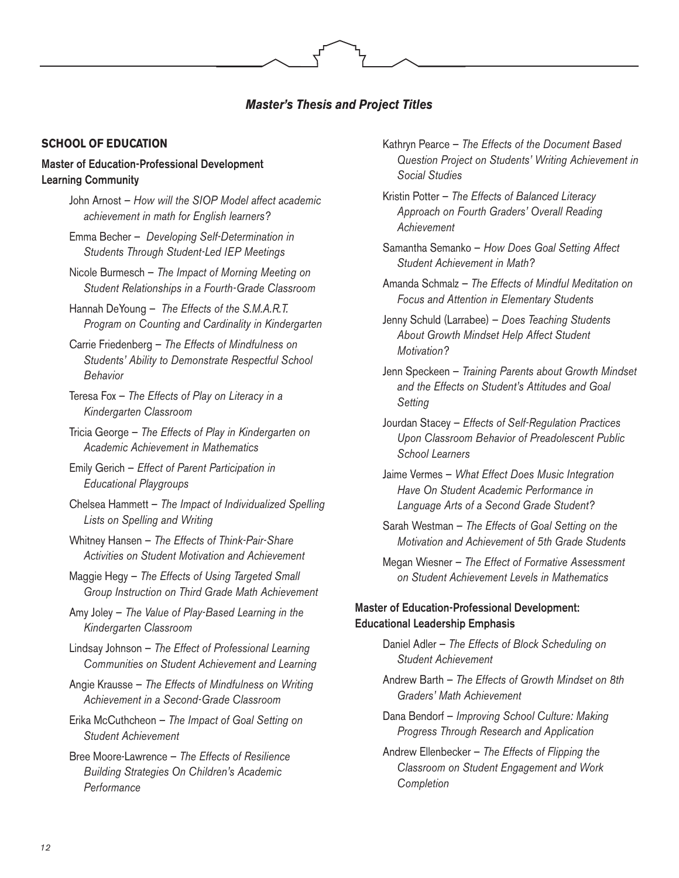#### **SCHOOL OF EDUCATION**

# Master of Education-Professional Development Learning Community

- John Arnost *How will the SIOP Model affect academic achievement in math for English learners?*
- Emma Becher *Developing Self-Determination in Students Through Student-Led IEP Meetings*
- Nicole Burmesch *The Impact of Morning Meeting on Student Relationships in a Fourth-Grade Classroom*
- Hannah DeYoung *The Effects of the S.M.A.R.T. Program on Counting and Cardinality in Kindergarten*
- Carrie Friedenberg *The Effects of Mindfulness on Students' Ability to Demonstrate Respectful School Behavior*
- Teresa Fox *The Effects of Play on Literacy in a Kindergarten Classroom*
- Tricia George *The Effects of Play in Kindergarten on Academic Achievement in Mathematics*
- Emily Gerich *Effect of Parent Participation in Educational Playgroups*
- Chelsea Hammett *The Impact of Individualized Spelling Lists on Spelling and Writing*
- Whitney Hansen *The Effects of Think-Pair-Share Activities on Student Motivation and Achievement*
- Maggie Hegy *The Effects of Using Targeted Small Group Instruction on Third Grade Math Achievement*
- Amy Joley — *The Value of Play-Based Learning in the Kindergarten Classroom*
- Lindsay Johnson *The Effect of Professional Learning Communities on Student Achievement and Learning*
- Angie Krausse *The Effects of Mindfulness on Writing Achievement in a Second-Grade Classroom*
- Erika McCuthcheon *The Impact of Goal Setting on Student Achievement*
- Bree Moore-Lawrence *The Effects of Resilience Building Strategies On Children's Academic Performance*
- Kathryn Pearce *The Effects of the Document Based Question Project on Students' Writing Achievement in Social Studies*
- Kristin Potter *The Effects of Balanced Literacy Approach on Fourth Graders' Overall Reading Achievement*
- Samantha Semanko *How Does Goal Setting Affect Student Achievement in Math?*
- Amanda Schmalz *The Effects of Mindful Meditation on Focus and Attention in Elementary Students*
- Jenny Schuld (Larrabee) *Does Teaching Students About Growth Mindset Help Affect Student Motivation?*
- Jenn Speckeen *Training Parents about Growth Mindset and the Effects on Student's Attitudes and Goal Setting*
- Jourdan Stacey *Effects of Self-Regulation Practices Upon Classroom Behavior of Preadolescent Public School Learners*
- Jaime Vermes *What Effect Does Music Integration Have On Student Academic Performance in Language Arts of a Second Grade Student?*
- Sarah Westman *The Effects of Goal Setting on the Motivation and Achievement of 5th Grade Students*
- Megan Wiesner *The Effect of Formative Assessment on Student Achievement Levels in Mathematics*

# Master of Education-Professional Development: Educational Leadership Emphasis

- Daniel Adler *The Effects of Block Scheduling on Student Achievement*
- Andrew Barth *The Effects of Growth Mindset on 8th Graders' Math Achievement*
- Dana Bendorf *Improving School Culture: Making Progress Through Research and Application*
- Andrew Ellenbecker *The Effects of Flipping the Classroom on Student Engagement and Work Completion*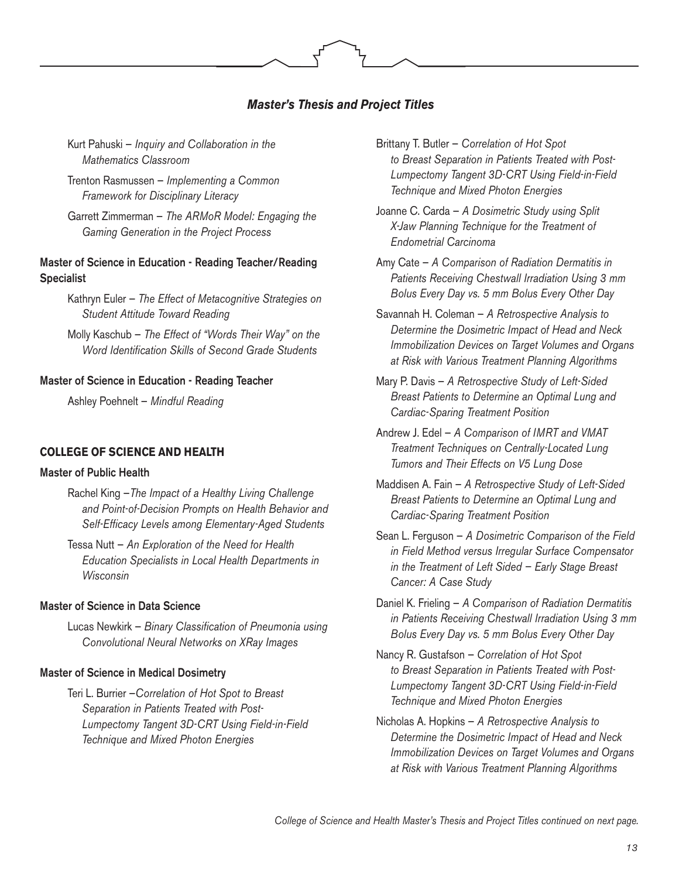Kurt Pahuski — *Inquiry and Collaboration in the Mathematics Classroom*

Trenton Rasmussen — *Implementing a Common Framework for Disciplinary Literacy*

Garrett Zimmerman — *The ARMoR Model: Engaging the Gaming Generation in the Project Process*

# Master of Science in Education - Reading Teacher/Reading **Specialist**

Kathryn Euler — *The Effect of Metacognitive Strategies on Student Attitude Toward Reading*

Molly Kaschub — *The Effect of "Words Their Way" on the Word Identification Skills of Second Grade Students*

#### Master of Science in Education - Reading Teacher

Ashley Poehnelt — *Mindful Reading*

#### **COLLEGE OF SCIENCE AND HEALTH**

#### Master of Public Health

Rachel King —*The Impact of a Healthy Living Challenge and Point-of-Decision Prompts on Health Behavior and Self-Efficacy Levels among Elementary-Aged Students*

Tessa Nutt — *An Exploration of the Need for Health Education Specialists in Local Health Departments in Wisconsin*

#### Master of Science in Data Science

Lucas Newkirk — *Binary Classification of Pneumonia using Convolutional Neural Networks on XRay Images*

#### Master of Science in Medical Dosimetry

Teri L. Burrier —*Correlation of Hot Spot to Breast Separation in Patients Treated with Post-Lumpectomy Tangent 3D-CRT Using Field-in-Field Technique and Mixed Photon Energies*

- Brittany T. Butler *Correlation of Hot Spot to Breast Separation in Patients Treated with Post-Lumpectomy Tangent 3D-CRT Using Field-in-Field Technique and Mixed Photon Energies*
- Joanne C. Carda *A Dosimetric Study using Split X-Jaw Planning Technique for the Treatment of Endometrial Carcinoma*
- Amy Cate *A Comparison of Radiation Dermatitis in Patients Receiving Chestwall Irradiation Using 3 mm Bolus Every Day vs. 5 mm Bolus Every Other Day*
- Savannah H. Coleman *A Retrospective Analysis to Determine the Dosimetric Impact of Head and Neck Immobilization Devices on Target Volumes and Organs at Risk with Various Treatment Planning Algorithms*
- Mary P. Davis *A Retrospective Study of Left-Sided Breast Patients to Determine an Optimal Lung and Cardiac-Sparing Treatment Position*
- Andrew J. Edel *A Comparison of IMRT and VMAT Treatment Techniques on Centrally-Located Lung Tumors and Their Effects on V5 Lung Dose*
- Maddisen A. Fain *A Retrospective Study of Left-Sided Breast Patients to Determine an Optimal Lung and Cardiac-Sparing Treatment Position*
- Sean L. Ferguson *A Dosimetric Comparison of the Field in Field Method versus Irregular Surface Compensator in the Treatment of Left Sided — Early Stage Breast Cancer: A Case Study*
- Daniel K. Frieling *A Comparison of Radiation Dermatitis in Patients Receiving Chestwall Irradiation Using 3 mm Bolus Every Day vs. 5 mm Bolus Every Other Day*
- Nancy R. Gustafson *Correlation of Hot Spot to Breast Separation in Patients Treated with Post-Lumpectomy Tangent 3D-CRT Using Field-in-Field Technique and Mixed Photon Energies*
- Nicholas A. Hopkins *A Retrospective Analysis to Determine the Dosimetric Impact of Head and Neck Immobilization Devices on Target Volumes and Organs at Risk with Various Treatment Planning Algorithms*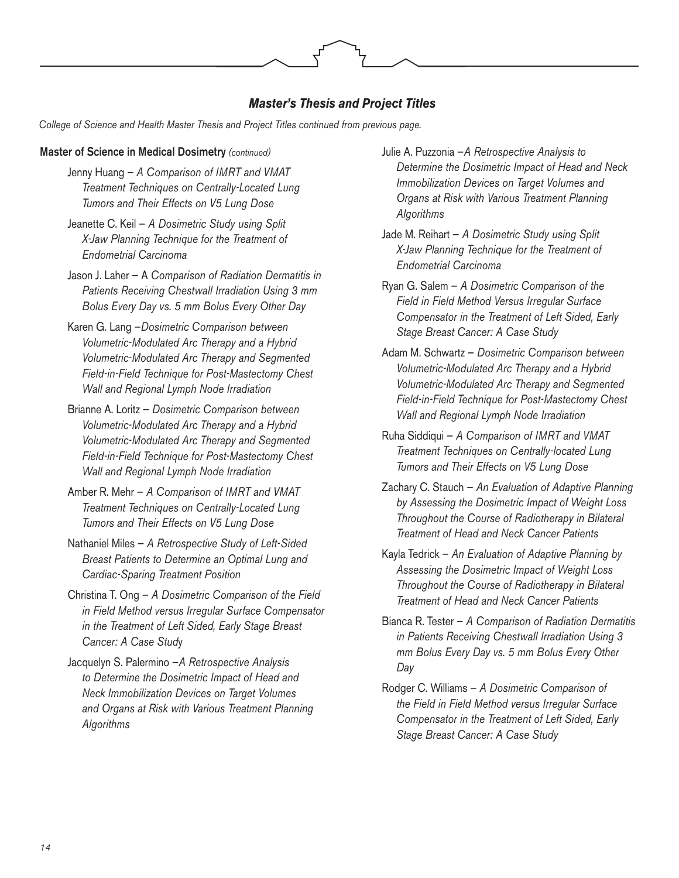*College of Science and Health Master Thesis and Project Titles continued from previous page.*

#### Master of Science in Medical Dosimetry *(continued)*

- Jenny Huang *A Comparison of IMRT and VMAT Treatment Techniques on Centrally-Located Lung Tumors and Their Effects on V5 Lung Dose*
- Jeanette C. Keil *A Dosimetric Study using Split X-Jaw Planning Technique for the Treatment of Endometrial Carcinoma*
- Jason J. Laher A *Comparison of Radiation Dermatitis in Patients Receiving Chestwall Irradiation Using 3 mm Bolus Every Day vs. 5 mm Bolus Every Other Day*
- Karen G. Lang —*Dosimetric Comparison between Volumetric-Modulated Arc Therapy and a Hybrid Volumetric-Modulated Arc Therapy and Segmented Field-in-Field Technique for Post-Mastectomy Chest Wall and Regional Lymph Node Irradiation*
- Brianne A. Loritz *Dosimetric Comparison between Volumetric-Modulated Arc Therapy and a Hybrid Volumetric-Modulated Arc Therapy and Segmented Field-in-Field Technique for Post-Mastectomy Chest Wall and Regional Lymph Node Irradiation*
- Amber R. Mehr *A Comparison of IMRT and VMAT Treatment Techniques on Centrally-Located Lung Tumors and Their Effects on V5 Lung Dose*
- Nathaniel Miles *A Retrospective Study of Left-Sided Breast Patients to Determine an Optimal Lung and Cardiac-Sparing Treatment Position*
- Christina T. Ong *A Dosimetric Comparison of the Field in Field Method versus Irregular Surface Compensator in the Treatment of Left Sided, Early Stage Breast Cancer: A Case Stud*y
- Jacquelyn S. Palermino —*A Retrospective Analysis to Determine the Dosimetric Impact of Head and Neck Immobilization Devices on Target Volumes and Organs at Risk with Various Treatment Planning Algorithms*
- Julie A. Puzzonia —*A Retrospective Analysis to Determine the Dosimetric Impact of Head and Neck Immobilization Devices on Target Volumes and Organs at Risk with Various Treatment Planning Algorithms*
- Jade M. Reihart *A Dosimetric Study using Split X-Jaw Planning Technique for the Treatment of Endometrial Carcinoma*
- Ryan G. Salem *A Dosimetric Comparison of the Field in Field Method Versus Irregular Surface Compensator in the Treatment of Left Sided, Early Stage Breast Cancer: A Case Study*
- Adam M. Schwartz *Dosimetric Comparison between Volumetric-Modulated Arc Therapy and a Hybrid Volumetric-Modulated Arc Therapy and Segmented Field-in-Field Technique for Post-Mastectomy Chest Wall and Regional Lymph Node Irradiation*
- Ruha Siddiqui *A Comparison of IMRT and VMAT Treatment Techniques on Centrally-located Lung Tumors and Their Effects on V5 Lung Dose*
- Zachary C. Stauch *An Evaluation of Adaptive Planning by Assessing the Dosimetric Impact of Weight Loss Throughout the Course of Radiotherapy in Bilateral Treatment of Head and Neck Cancer Patients*
- Kayla Tedrick *An Evaluation of Adaptive Planning by Assessing the Dosimetric Impact of Weight Loss Throughout the Course of Radiotherapy in Bilateral Treatment of Head and Neck Cancer Patients*
- Bianca R. Tester *A Comparison of Radiation Dermatitis in Patients Receiving Chestwall Irradiation Using 3 mm Bolus Every Day vs. 5 mm Bolus Every Other Day*
- Rodger C. Williams *A Dosimetric Comparison of the Field in Field Method versus Irregular Surface Compensator in the Treatment of Left Sided, Early Stage Breast Cancer: A Case Study*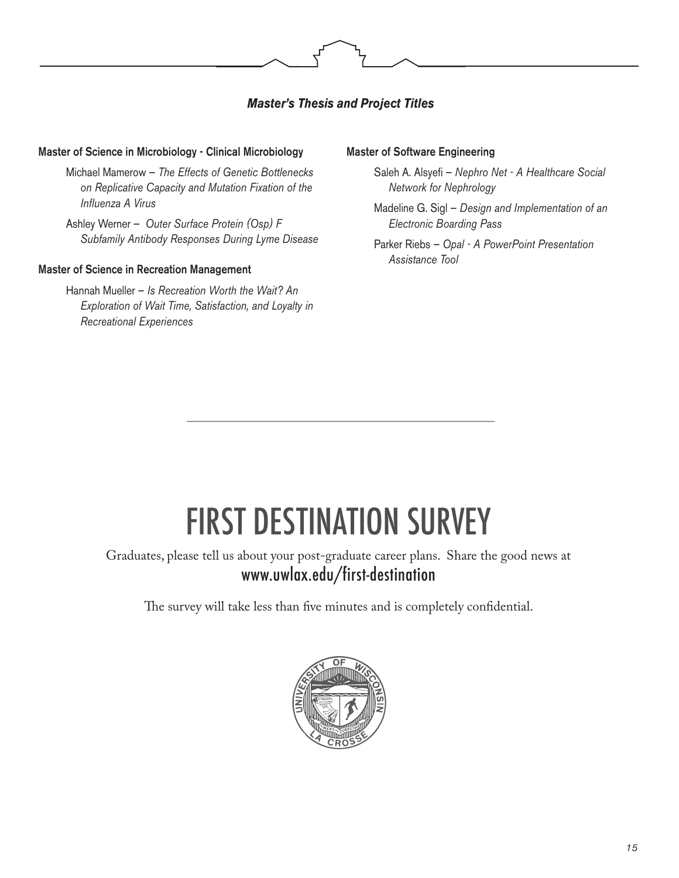#### Master of Science in Microbiology - Clinical Microbiology

- Michael Mamerow *The Effects of Genetic Bottlenecks on Replicative Capacity and Mutation Fixation of the Influenza A Virus*
- Ashley Werner *Outer Surface Protein (Osp) F Subfamily Antibody Responses During Lyme Disease*

#### Master of Science in Recreation Management

Hannah Mueller — *Is Recreation Worth the Wait? An Exploration of Wait Time, Satisfaction, and Loyalty in Recreational Experiences*

#### Master of Software Engineering

- Saleh A. Alsyefi *Nephro Net A Healthcare Social Network for Nephrology*
- Madeline G. Sigl *Design and Implementation of an Electronic Boarding Pass*
- Parker Riebs *Opal A PowerPoint Presentation Assistance Tool*

# FIRST DESTINATION SURVEY

Graduates, please tell us about your post-graduate career plans. Share the good news at www.uwlax.edu/first-destination

The survey will take less than five minutes and is completely confidential.